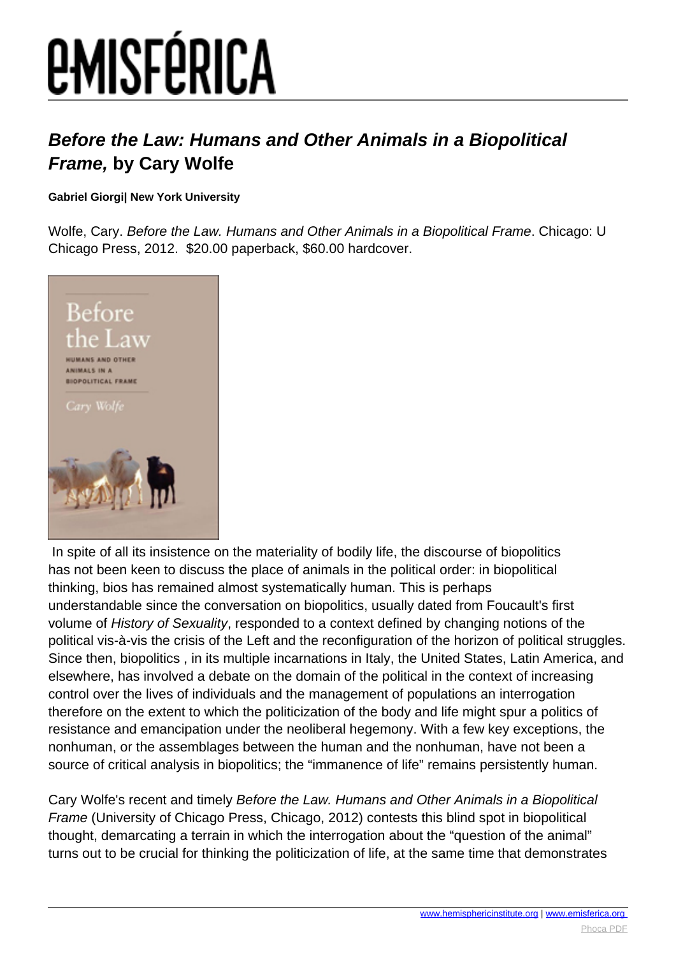# *EMISFÉRICA*

### **Before the Law: Humans and Other Animals in a Biopolitical Frame, by Cary Wolfe**

### **Gabriel Giorgi| New York University**

Wolfe, Cary. Before the Law. Humans and Other Animals in a Biopolitical Frame. Chicago: U Chicago Press, 2012. \$20.00 paperback, \$60.00 hardcover.



 In spite of all its insistence on the materiality of bodily life, the discourse of biopolitics has not been keen to discuss the place of animals in the political order: in biopolitical thinking, bios has remained almost systematically human. This is perhaps understandable since the conversation on biopolitics, usually dated from Foucault's first volume of History of Sexuality, responded to a context defined by changing notions of the political vis-à-vis the crisis of the Left and the reconfiguration of the horizon of political struggles. Since then, biopolitics , in its multiple incarnations in Italy, the United States, Latin America, and elsewhere, has involved a debate on the domain of the political in the context of increasing control over the lives of individuals and the management of populations an interrogation therefore on the extent to which the politicization of the body and life might spur a politics of resistance and emancipation under the neoliberal hegemony. With a few key exceptions, the nonhuman, or the assemblages between the human and the nonhuman, have not been a source of critical analysis in biopolitics; the "immanence of life" remains persistently human.

Cary Wolfe's recent and timely Before the Law. Humans and Other Animals in a Biopolitical Frame (University of Chicago Press, Chicago, 2012) contests this blind spot in biopolitical thought, demarcating a terrain in which the interrogation about the "question of the animal" turns out to be crucial for thinking the politicization of life, at the same time that demonstrates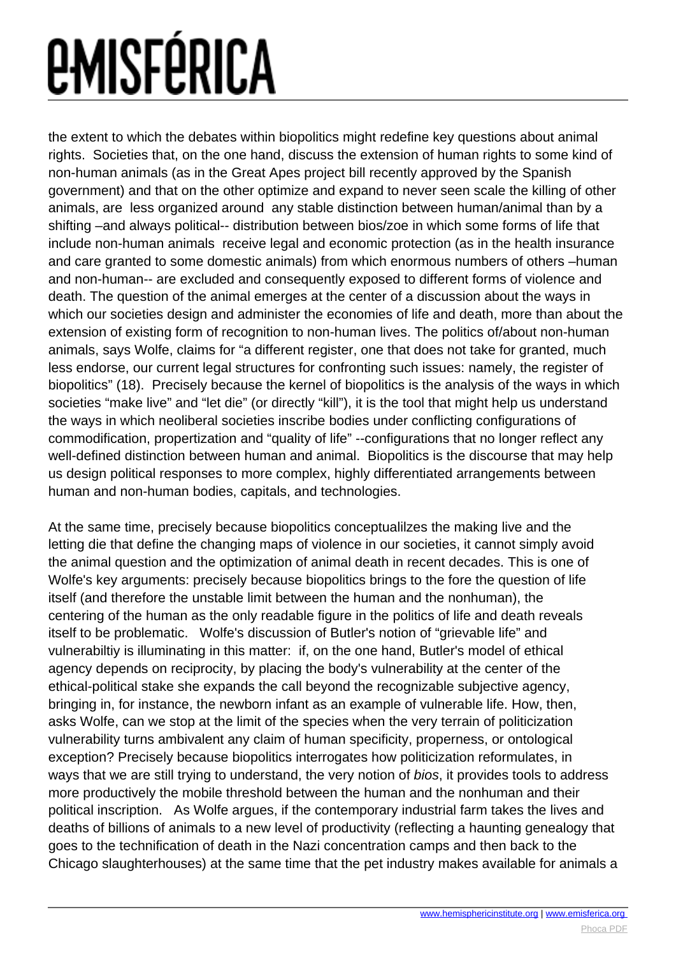# *<u>EMISFÉRICA</u>*

the extent to which the debates within biopolitics might redefine key questions about animal rights. Societies that, on the one hand, discuss the extension of human rights to some kind of non-human animals (as in the Great Apes project bill recently approved by the Spanish government) and that on the other optimize and expand to never seen scale the killing of other animals, are less organized around any stable distinction between human/animal than by a shifting –and always political-- distribution between bios/zoe in which some forms of life that include non-human animals receive legal and economic protection (as in the health insurance and care granted to some domestic animals) from which enormous numbers of others –human and non-human-- are excluded and consequently exposed to different forms of violence and death. The question of the animal emerges at the center of a discussion about the ways in which our societies design and administer the economies of life and death, more than about the extension of existing form of recognition to non-human lives. The politics of/about non-human animals, says Wolfe, claims for "a different register, one that does not take for granted, much less endorse, our current legal structures for confronting such issues: namely, the register of biopolitics" (18). Precisely because the kernel of biopolitics is the analysis of the ways in which societies "make live" and "let die" (or directly "kill"), it is the tool that might help us understand the ways in which neoliberal societies inscribe bodies under conflicting configurations of commodification, propertization and "quality of life" --configurations that no longer reflect any well-defined distinction between human and animal. Biopolitics is the discourse that may help us design political responses to more complex, highly differentiated arrangements between human and non-human bodies, capitals, and technologies.

At the same time, precisely because biopolitics conceptualilzes the making live and the letting die that define the changing maps of violence in our societies, it cannot simply avoid the animal question and the optimization of animal death in recent decades. This is one of Wolfe's key arguments: precisely because biopolitics brings to the fore the question of life itself (and therefore the unstable limit between the human and the nonhuman), the centering of the human as the only readable figure in the politics of life and death reveals itself to be problematic. Wolfe's discussion of Butler's notion of "grievable life" and vulnerabiltiy is illuminating in this matter: if, on the one hand, Butler's model of ethical agency depends on reciprocity, by placing the body's vulnerability at the center of the ethical-political stake she expands the call beyond the recognizable subjective agency, bringing in, for instance, the newborn infant as an example of vulnerable life. How, then, asks Wolfe, can we stop at the limit of the species when the very terrain of politicization vulnerability turns ambivalent any claim of human specificity, properness, or ontological exception? Precisely because biopolitics interrogates how politicization reformulates, in ways that we are still trying to understand, the very notion of bios, it provides tools to address more productively the mobile threshold between the human and the nonhuman and their political inscription. As Wolfe argues, if the contemporary industrial farm takes the lives and deaths of billions of animals to a new level of productivity (reflecting a haunting genealogy that goes to the technification of death in the Nazi concentration camps and then back to the Chicago slaughterhouses) at the same time that the pet industry makes available for animals a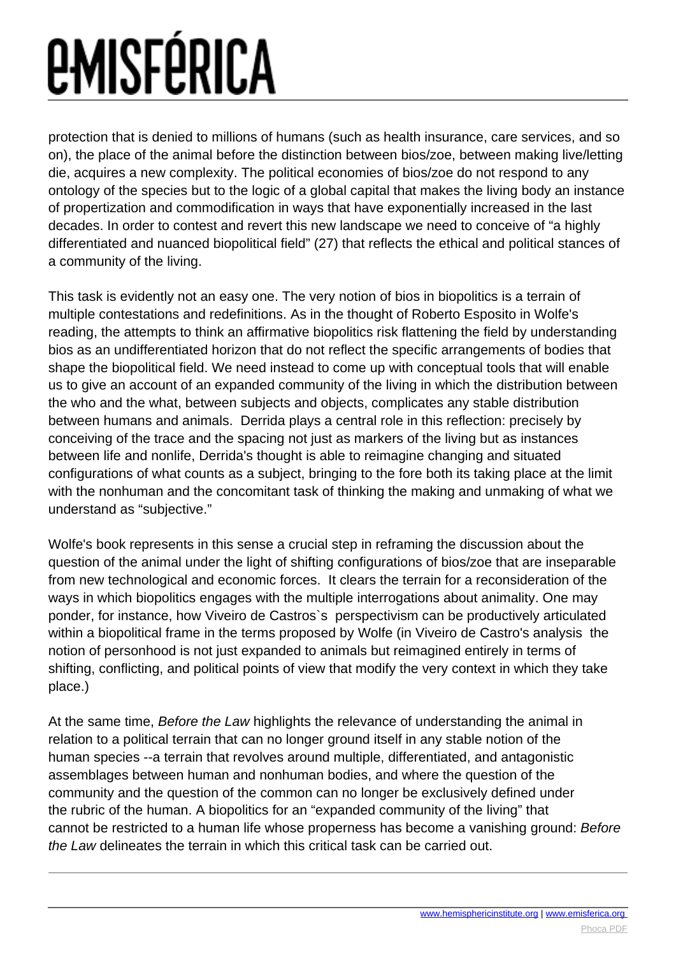# *<u>EMISFÉRICA</u>*

protection that is denied to millions of humans (such as health insurance, care services, and so on), the place of the animal before the distinction between bios/zoe, between making live/letting die, acquires a new complexity. The political economies of bios/zoe do not respond to any ontology of the species but to the logic of a global capital that makes the living body an instance of propertization and commodification in ways that have exponentially increased in the last decades. In order to contest and revert this new landscape we need to conceive of "a highly differentiated and nuanced biopolitical field" (27) that reflects the ethical and political stances of a community of the living.

This task is evidently not an easy one. The very notion of bios in biopolitics is a terrain of multiple contestations and redefinitions. As in the thought of Roberto Esposito in Wolfe's reading, the attempts to think an affirmative biopolitics risk flattening the field by understanding bios as an undifferentiated horizon that do not reflect the specific arrangements of bodies that shape the biopolitical field. We need instead to come up with conceptual tools that will enable us to give an account of an expanded community of the living in which the distribution between the who and the what, between subjects and objects, complicates any stable distribution between humans and animals. Derrida plays a central role in this reflection: precisely by conceiving of the trace and the spacing not just as markers of the living but as instances between life and nonlife, Derrida's thought is able to reimagine changing and situated configurations of what counts as a subject, bringing to the fore both its taking place at the limit with the nonhuman and the concomitant task of thinking the making and unmaking of what we understand as "subjective."

Wolfe's book represents in this sense a crucial step in reframing the discussion about the question of the animal under the light of shifting configurations of bios/zoe that are inseparable from new technological and economic forces. It clears the terrain for a reconsideration of the ways in which biopolitics engages with the multiple interrogations about animality. One may ponder, for instance, how Viveiro de Castros`s perspectivism can be productively articulated within a biopolitical frame in the terms proposed by Wolfe (in Viveiro de Castro's analysis the notion of personhood is not just expanded to animals but reimagined entirely in terms of shifting, conflicting, and political points of view that modify the very context in which they take place.)

At the same time, Before the Law highlights the relevance of understanding the animal in relation to a political terrain that can no longer ground itself in any stable notion of the human species --a terrain that revolves around multiple, differentiated, and antagonistic assemblages between human and nonhuman bodies, and where the question of the community and the question of the common can no longer be exclusively defined under the rubric of the human. A biopolitics for an "expanded community of the living" that cannot be restricted to a human life whose properness has become a vanishing ground: Before the Law delineates the terrain in which this critical task can be carried out.